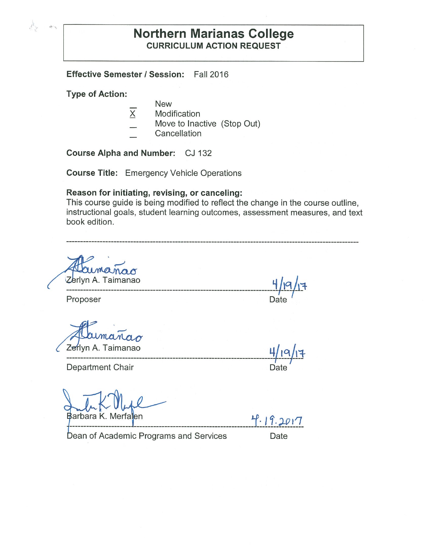# **Northern Marianas College CURRICULUM ACTION REQUEST**

**Effective Semester/ Session:** Fall 2016

**Type of Action:** 

- New
- $\overline{X}$  Modification
- Move to Inactive (Stop Out)
- **Cancellation**

**Course Alpha and Number:** CJ 132

**Course Title:** Emergency Vehicle Operations

#### **Reason for initiating, revising, or canceling:**

This course guide is being modified to reflect the change in the course outline, instructional goals, student learning outcomes, assessment measures, and text book edition.

rlyn A. Taimanao **Yj.,o.** *J***'1** 

---------------------------------------------------------------------------- Proposer **Date** 

**\_\_\_\_\_\_\_\_\_\_\_\_\_\_\_\_\_\_\_\_\_\_\_\_\_\_\_\_\_\_\_\_\_\_\_\_\_\_\_\_\_\_\_\_\_\_\_\_\_\_\_\_\_\_\_\_\_\_\_\_\_\_\_\_\_\_\_\_** 

Department Chair **Department** Chair

Barbara K. Merfalen

 $4.19.2017$ 

 $-$ -- $\sqrt{2}$ 

**4/ l~lt-**

Dean of Academic Programs and Services Date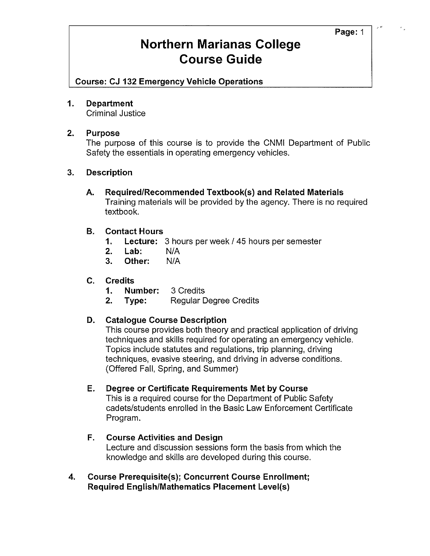**Course: CJ 132 Emergency Vehicle Operations** 

#### **1. Department**

Criminal Justice

#### **2. Purpose**

The purpose of this course is to provide the CNMI Department of Public Safety the essentials in operating emergency vehicles.

#### **3. Description**

**A. Required/Recommended Textbook(s) and Related Materials**  Training materials will be provided by the agency. There is no required textbook.

#### **B. Contact Hours**

- **1. Lecture:** 3 hours per week/ 45 hours per semester
- **2. Lab:** N/A
- **3. Other:** N/A

#### **C. Credits**

- **1. Number:** 3 Credits
- **2.** Type: Regular Degree Credits

#### **D. Catalogue Course Description**

This course provides both theory and practical application of driving techniques and skills required for operating an emergency vehicle. Topics include statutes and regulations, trip planning, driving techniques, evasive steering, and driving in adverse conditions. (Offered Fall, Spring, and Summer)

#### **E. Degree or Certificate Requirements Met by Course**

This is a required course for the Department of Public Safety cadets/students enrolled in the Basic Law Enforcement Certificate Program.

### **F. Course Activities and Design**

Lecture and discussion sessions form the basis from which the knowledge and skills are developed during this course.

**4. Course Prerequisite(s); Concurrent Course Enrollment; Required English/Mathematics Placement Level(s)**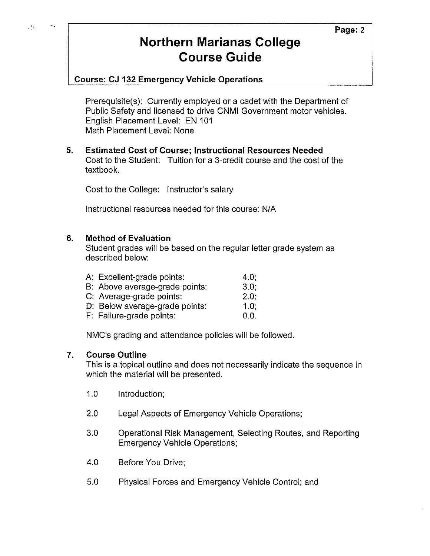### **Course: CJ 132 Emergency Vehicle Operations**

Prerequisite(s): Currently employed or a cadet with the Department of Public Safety and licensed to drive CNMI Government motor vehicles. English Placement Level: EN 101 Math Placement Level: None

**5. Estimated Cost of Course; Instructional Resources Needed**  Cost to the Student: Tuition for a 3-credit course and the cost of the textbook.

Cost to the College: Instructor's salary

Instructional resources needed for this course: N/A

#### **6. Method of Evaluation**

Student grades will be based on the regular letter grade system as described below:

| A: Excellent-grade points:     | 4.0:    |
|--------------------------------|---------|
| B: Above average-grade points: | 3.0:    |
| C: Average-grade points:       | $2.0$ ; |
| D: Below average-grade points: | $1.0$ ; |
| F: Failure-grade points:       | 0.0.    |
|                                |         |

NMC's grading and attendance policies will be followed.

#### **7. Course Outline**

This is a topical outline and does not necessarily indicate the sequence in which the material will be presented.

- 1.0 Introduction;
- 2.0 Legal Aspects of Emergency Vehicle Operations;
- 3.0 Operational Risk Management, Selecting Routes, and Reporting Emergency Vehicle Operations;
- 4.0 Before You Drive;
- 5.0 Physical Forces and Emergency Vehicle Control; and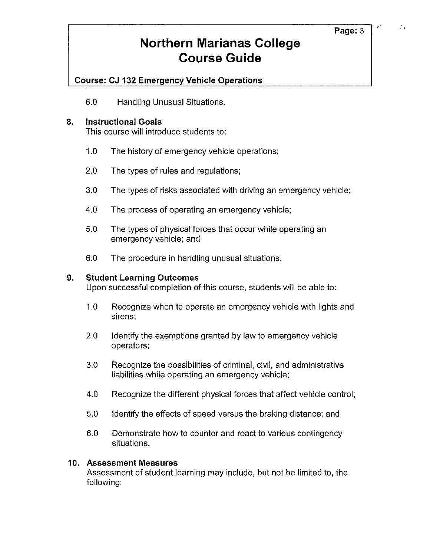### **Course: CJ 132 Emergency Vehicle Operations**

6.0 Handling Unusual Situations.

### **8. Instructional Goals**

This course will introduce students to:

- 1.0 The history of emergency vehicle operations;
- 2.0 The types of rules and regulations;
- 3.0 The types of risks associated with driving an emergency vehicle;
- 4.0 The process of operating an emergency vehicle;
- 5.0 The types of physical forces that occur while operating an emergency vehicle; and
- 6.0 The procedure in handling unusual situations.

#### **9. Student Learning Outcomes**

Upon successful completion of this course, students will be able to:

- 1.0 Recognize when to operate an emergency vehicle with lights and sirens;
- 2.0 Identify the exemptions granted by law to emergency vehicle operators;
- 3.0 Recognize the possibilities of criminal, civil, and administrative liabilities while operating an emergency vehicle;
- 4.0 Recognize the different physical forces that affect vehicle control;
- 5.0 Identify the effects of speed versus the braking distance; and
- 6.0 Demonstrate how to counter and react to various contingency situations.

#### **10. Assessment Measures**

Assessment of student learning may include, but not be limited to, the following:

 $\mathcal{S}_A$